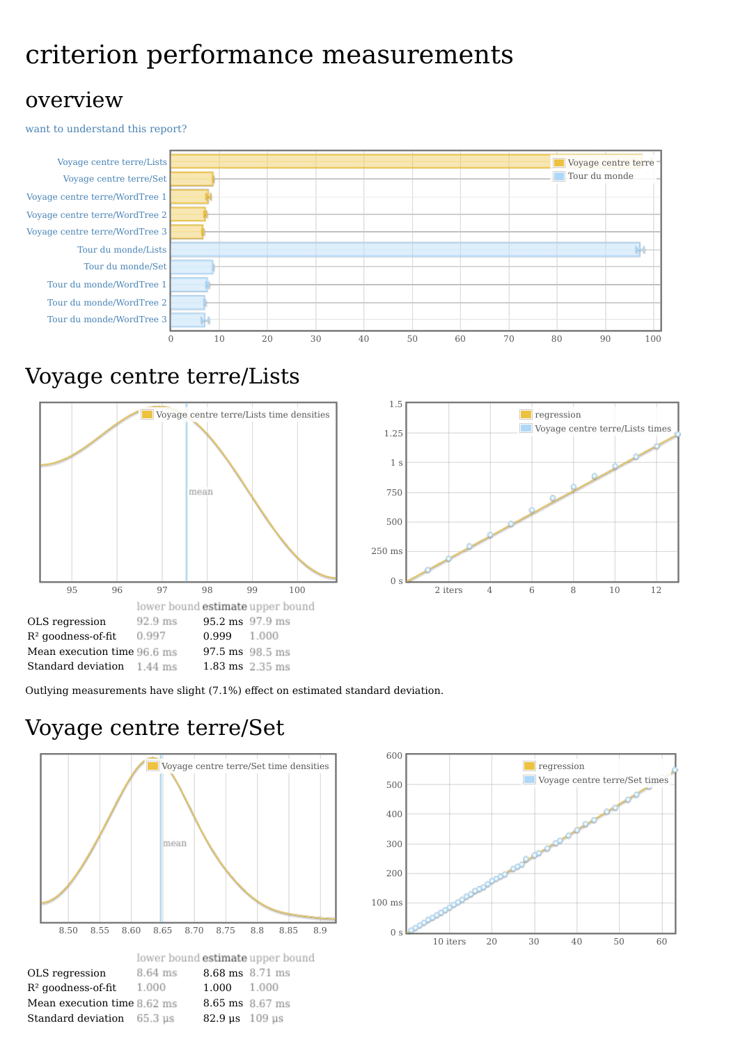# criterion performance measurements

#### overview

want to [understand](file:///home/jean-luc/Programmation/Haskell/Benchmark/Words/report-global1.html#grokularation) this report?



## Voyage centre terre/Lists





Outlying measurements have slight (7.1%) effect on estimated standard deviation.

### Voyage centre terre/Set



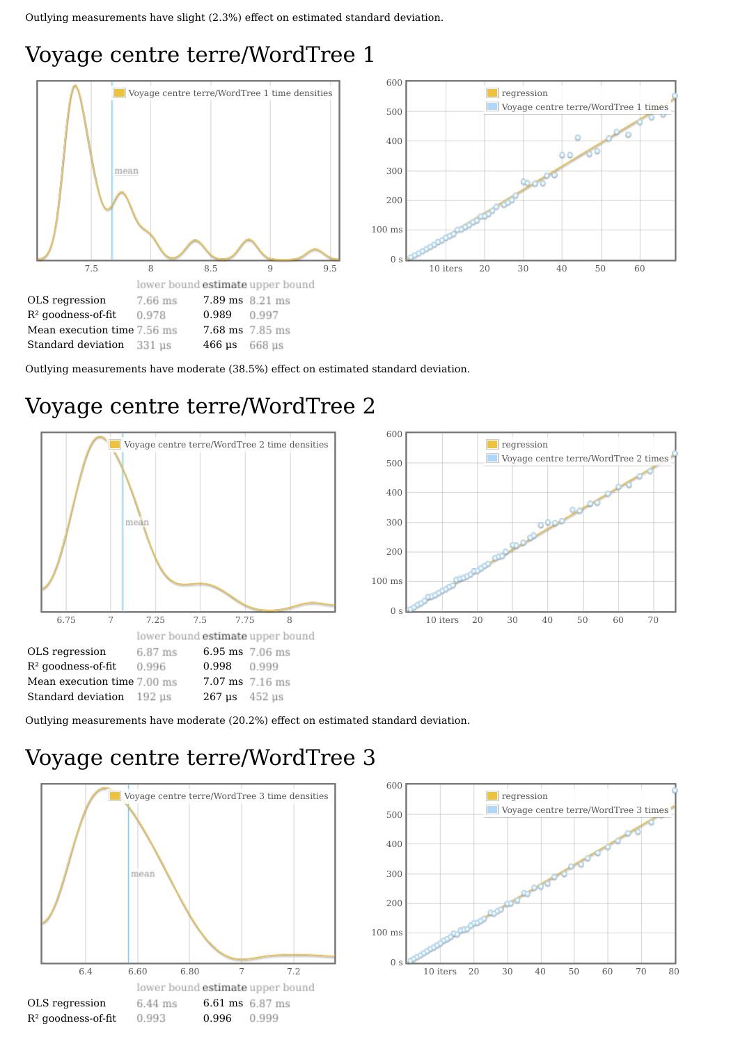# Voyage centre terre/WordTree 1





Outlying measurements have moderate (38.5%) effect on estimated standard deviation.

# Voyage centre terre/WordTree 2





Outlying measurements have moderate (20.2%) effect on estimated standard deviation.

# Voyage centre terre/WordTree 3



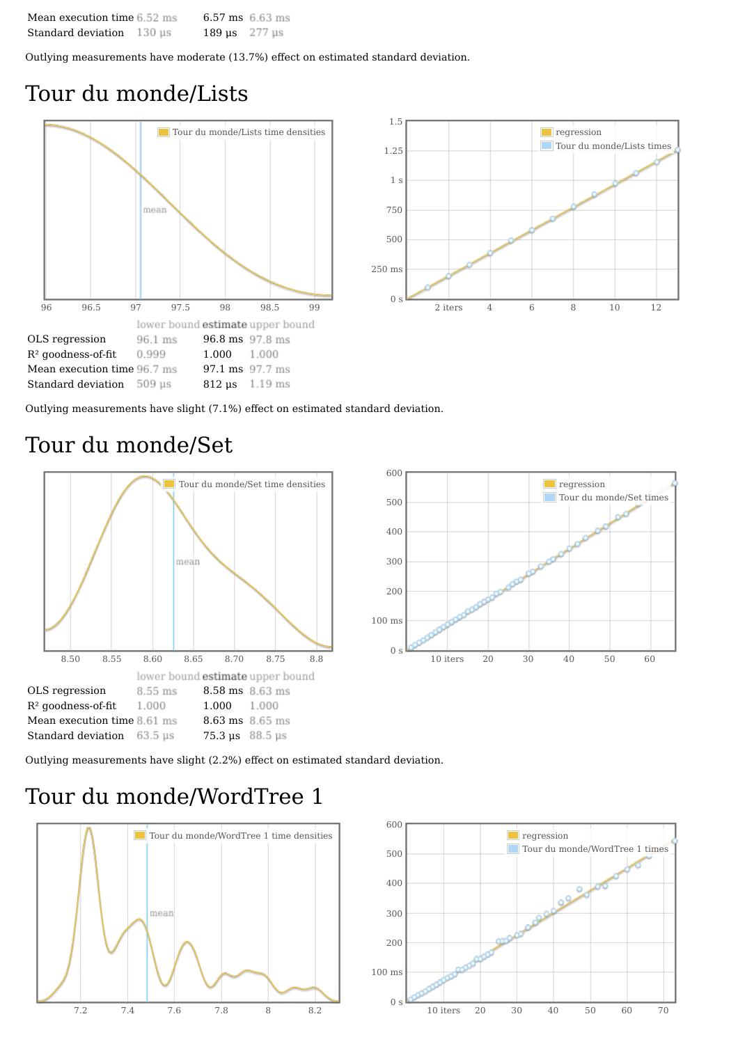| Mean execution time 6.52 ms |        | 6.57 ms $6.63$ ms       |  |
|-----------------------------|--------|-------------------------|--|
| Standard deviation          | 130 us | 189 $\mu$ s 277 $\mu$ s |  |

Outlying measurements have moderate (13.7%) effect on estimated standard deviation.

#### Tour du monde/Lists





Outlying measurements have slight (7.1%) effect on estimated standard deviation.

#### Tour du monde/Set





Outlying measurements have slight (2.2%) effect on estimated standard deviation.

### Tour du monde/WordTree 1



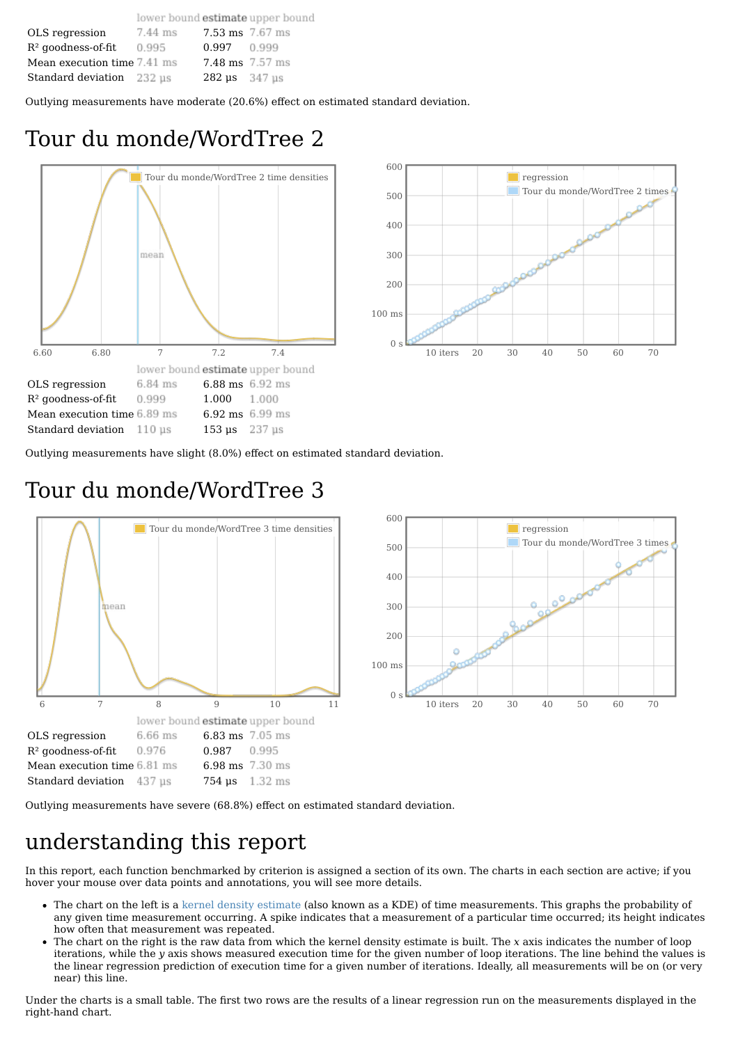|                             |         |                                             | lower bound estimate upper bound |
|-----------------------------|---------|---------------------------------------------|----------------------------------|
| OLS regression              | 7.44 ms | 7.53 ms 7.67 ms                             |                                  |
| $R2$ goodness-of-fit        | 0.995   | $0.997$ 0.999                               |                                  |
| Mean execution time 7.41 ms |         | $7.48 \text{ ms}$ 7.57 ms                   |                                  |
| Standard deviation 232 us   |         | $282 \text{ }\mu\text{s}$ 347 $\mu\text{s}$ |                                  |

Outlying measurements have moderate (20.6%) effect on estimated standard deviation.

## Tour du monde/WordTree 2





Outlying measurements have slight (8.0%) effect on estimated standard deviation.

### Tour du monde/WordTree 3



Outlying measurements have severe (68.8%) effect on estimated standard deviation.

### understanding this report

In this report, each function benchmarked by criterion is assigned a section of its own. The charts in each section are active; if you hover your mouse over data points and annotations, you will see more details.

- The chart on the left is a kernel density [estimate](http://en.wikipedia.org/wiki/Kernel_density_estimation) (also known as a KDE) of time measurements. This graphs the probability of any given time measurement occurring. A spike indicates that a measurement of a particular time occurred; its height indicates how often that measurement was repeated.
- The chart on the right is the raw data from which the kernel density estimate is built. The *x* axis indicates the number of loop iterations, while the *y* axis shows measured execution time for the given number of loop iterations. The line behind the values is the linear regression prediction of execution time for a given number of iterations. Ideally, all measurements will be on (or very near) this line.

Under the charts is a small table. The first two rows are the results of a linear regression run on the measurements displayed in the right-hand chart.